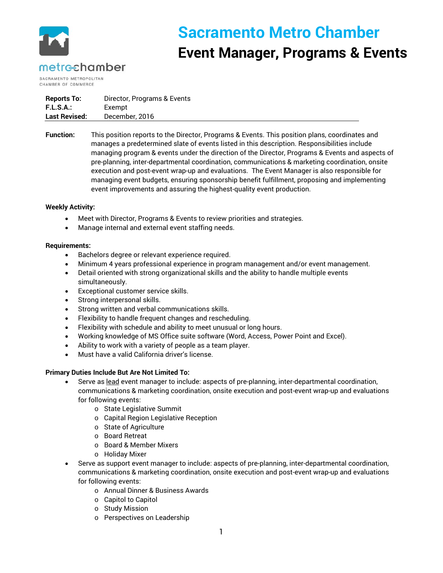

# **Sacramento Metro Chamber Event Manager, Programs & Events**

## metrechamber

SACRAMENTO METROPOLITAN CHAMBER OF COMMERCE

| <b>Reports To:</b>   | Director, Programs & Events |
|----------------------|-----------------------------|
| <b>F.L.S.A.:</b>     | Exempt                      |
| <b>Last Revised:</b> | December, 2016              |

**Function:** This position reports to the Director, Programs & Events. This position plans, coordinates and manages a predetermined slate of events listed in this description. Responsibilities include managing program & events under the direction of the Director, Programs & Events and aspects of pre-planning, inter-departmental coordination, communications & marketing coordination, onsite execution and post-event wrap-up and evaluations. The Event Manager is also responsible for managing event budgets, ensuring sponsorship benefit fulfillment, proposing and implementing event improvements and assuring the highest-quality event production.

#### **Weekly Activity:**

- Meet with Director, Programs & Events to review priorities and strategies.
- Manage internal and external event staffing needs.

#### **Requirements:**

- Bachelors degree or relevant experience required.
- Minimum 4 years professional experience in program management and/or event management.
- Detail oriented with strong organizational skills and the ability to handle multiple events simultaneously.
- Exceptional customer service skills.
- Strong interpersonal skills.
- Strong written and verbal communications skills.
- Flexibility to handle frequent changes and rescheduling.
- Flexibility with schedule and ability to meet unusual or long hours.
- Working knowledge of MS Office suite software (Word, Access, Power Point and Excel).
- Ability to work with a variety of people as a team player.
- Must have a valid California driver's license.

### **Primary Duties Include But Are Not Limited To:**

- Serve as lead event manager to include: aspects of pre-planning, inter-departmental coordination, communications & marketing coordination, onsite execution and post-event wrap-up and evaluations for following events:
	- o State Legislative Summit
	- o Capital Region Legislative Reception
	- o State of Agriculture
	- o Board Retreat
	- o Board & Member Mixers
	- o Holiday Mixer
- Serve as support event manager to include: aspects of pre-planning, inter-departmental coordination, communications & marketing coordination, onsite execution and post-event wrap-up and evaluations for following events:
	- o Annual Dinner & Business Awards
	- o Capitol to Capitol
	- o Study Mission
	- o Perspectives on Leadership